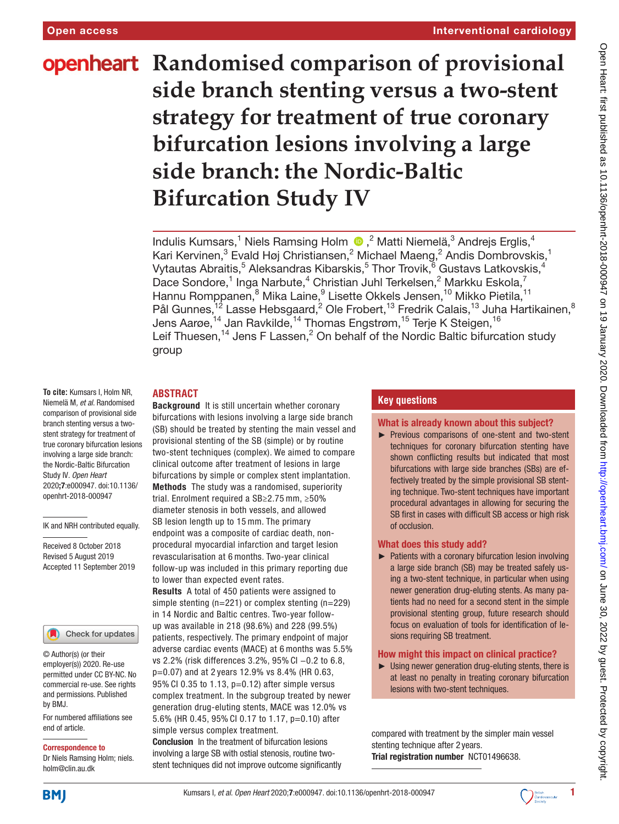# **openheart** Randomised comparison of provisional **side branch stenting versus a two-stent strategy for treatment of true coronary bifurcation lesions involving a large side branch: the Nordic-Baltic Bifurcation Study IV**

IndulisKumsars,<sup>1</sup> Niels Ramsing Holm (D,<sup>2</sup> Matti Niemelä,<sup>3</sup> Andrejs Erglis,<sup>4</sup> Kari Kervinen, $^3$  Evald Høj Christiansen, $^2$  Michael Maeng, $^2$  Andis Dombrovskis, $^1$ Vytautas Abraitis, $^5$  Aleksandras Kibarskis, $^5$  Thor Trovik, $^{\rm \bar{6}}$  Gustavs Latkovskis, $^4$ Dace Sondore,<sup>1</sup> Inga Narbute,<sup>4</sup> Christian Juhl Terkelsen,<sup>2</sup> Markku Eskola,<sup>7</sup> Hannu Romppanen,<sup>8</sup> Mika Laine,<sup>9</sup> Lisette Okkels Jensen,<sup>10</sup> Mikko Pietila,<sup>11</sup> Pål Gunnes, <sup>12</sup> Lasse Hebsgaard, <sup>2</sup> Ole Frobert, <sup>13</sup> Fredrik Calais, <sup>13</sup> Juha Hartikainen, <sup>8</sup> Jens Aarøe, $^{\rm 14}$  Jan Ravkilde, $^{\rm 14}$  Thomas Engstrøm, $^{\rm 15}$  Terje K Steigen, $^{\rm 16}$ Leif Thuesen,<sup>14</sup> Jens F Lassen,<sup>2</sup> On behalf of the Nordic Baltic bifurcation study group

## **Abstract**

**To cite:** Kumsars I, Holm NR, Niemelä M*, et al*. Randomised comparison of provisional side branch stenting versus a twostent strategy for treatment of true coronary bifurcation lesions involving a large side branch: the Nordic-Baltic Bifurcation Study IV*. Open Heart* 2020;7:e000947. doi:10.1136/ openhrt-2018-000947

IK and NRH contributed equally.

Received 8 October 2018 Revised 5 August 2019 Accepted 11 September 2019



© Author(s) (or their employer(s)) 2020. Re-use permitted under CC BY-NC. No commercial re-use. See rights and permissions. Published by BMJ.

For numbered affiliations see end of article.

#### Correspondence to

Dr Niels Ramsing Holm; niels. holm@clin.au.dk

Background It is still uncertain whether coronary bifurcations with lesions involving a large side branch (SB) should be treated by stenting the main vessel and provisional stenting of the SB (simple) or by routine two-stent techniques (complex). We aimed to compare clinical outcome after treatment of lesions in large bifurcations by simple or complex stent implantation. Methods The study was a randomised, superiority

trial. Enrolment required a SB≥2.75 mm, ≥50% diameter stenosis in both vessels, and allowed SB lesion length up to 15 mm. The primary endpoint was a composite of cardiac death, nonprocedural myocardial infarction and target lesion revascularisation at 6 months. Two-year clinical follow-up was included in this primary reporting due to lower than expected event rates.

Results A total of 450 patients were assigned to simple stenting (n=221) or complex stenting (n=229) in 14 Nordic and Baltic centres. Two-year followup was available in 218 (98.6%) and 228 (99.5%) patients, respectively. The primary endpoint of major adverse cardiac events (MACE) at 6 months was 5.5% vs 2.2% (risk differences 3.2%, 95% CI −0.2 to 6.8, p=0.07) and at 2 years 12.9% vs 8.4% (HR 0.63, 95% CI 0.35 to 1.13, p=0.12) after simple versus complex treatment. In the subgroup treated by newer generation drug-eluting stents, MACE was 12.0% vs 5.6% (HR 0.45, 95% CI 0.17 to 1.17, p=0.10) after simple versus complex treatment.

Conclusion In the treatment of bifurcation lesions involving a large SB with ostial stenosis, routine twostent techniques did not improve outcome significantly

## **Key questions**

#### What is already known about this subject?

► Previous comparisons of one-stent and two-stent techniques for coronary bifurcation stenting have shown conflicting results but indicated that most bifurcations with large side branches (SBs) are effectively treated by the simple provisional SB stenting technique. Two-stent techniques have important procedural advantages in allowing for securing the SB first in cases with difficult SB access or high risk of occlusion.

#### What does this study add?

► Patients with a coronary bifurcation lesion involving a large side branch (SB) may be treated safely using a two-stent technique, in particular when using newer generation drug-eluting stents. As many patients had no need for a second stent in the simple provisional stenting group, future research should focus on evaluation of tools for identification of lesions requiring SB treatment.

#### How might this impact on clinical practice?

► Using newer generation drug-eluting stents, there is at least no penalty in treating coronary bifurcation lesions with two-stent techniques.

compared with treatment by the simpler main vessel stenting technique after 2 years. Trial registration number <NCT01496638>.



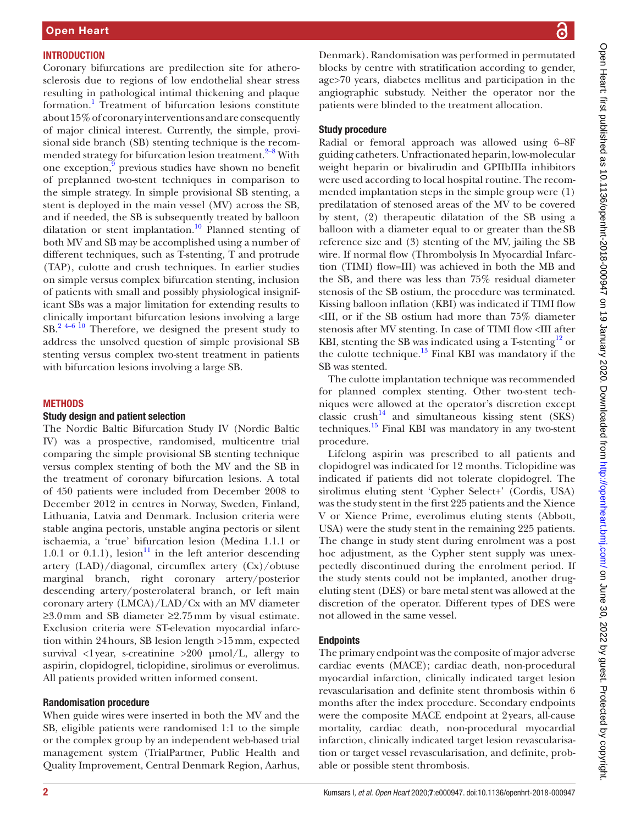## **INTRODUCTION**

Coronary bifurcations are predilection site for atherosclerosis due to regions of low endothelial shear stress resulting in pathological intimal thickening and plaque formation.<sup>[1](#page-10-0)</sup> Treatment of bifurcation lesions constitute about 15% of coronary interventions and are consequently of major clinical interest. Currently, the simple, provisional side branch (SB) stenting technique is the recom-mended strategy for bifurcation lesion treatment.<sup>[2–8](#page-10-1)</sup> With one exception,<sup>[9](#page-11-0)</sup> previous studies have shown no benefit of preplanned two-stent techniques in comparison to the simple strategy. In simple provisional SB stenting, a stent is deployed in the main vessel (MV) across the SB, and if needed, the SB is subsequently treated by balloon dilatation or stent implantation.<sup>10</sup> Planned stenting of both MV and SB may be accomplished using a number of different techniques, such as T-stenting, T and protrude (TAP), culotte and crush techniques. In earlier studies on simple versus complex bifurcation stenting, inclusion of patients with small and possibly physiological insignificant SBs was a major limitation for extending results to clinically important bifurcation lesions involving a large SB.[2 4–6 10](#page-10-1) Therefore, we designed the present study to address the unsolved question of simple provisional SB stenting versus complex two-stent treatment in patients with bifurcation lesions involving a large SB.

## **METHODS**

#### Study design and patient selection

The Nordic Baltic Bifurcation Study IV (Nordic Baltic IV) was a prospective, randomised, multicentre trial comparing the simple provisional SB stenting technique versus complex stenting of both the MV and the SB in the treatment of coronary bifurcation lesions. A total of 450 patients were included from December 2008 to December 2012 in centres in Norway, Sweden, Finland, Lithuania, Latvia and Denmark. Inclusion criteria were stable angina pectoris, unstable angina pectoris or silent ischaemia, a 'true' bifurcation lesion (Medina 1.1.1 or 1.0.1 or 0.1.1), lesion<sup>11</sup> in the left anterior descending artery (LAD)/diagonal, circumflex artery (Cx)/obtuse marginal branch, right coronary artery/posterior descending artery/posterolateral branch, or left main coronary artery (LMCA)/LAD/Cx with an MV diameter ≥3.0mm and SB diameter ≥2.75mm by visual estimate. Exclusion criteria were ST-elevation myocardial infarction within 24hours, SB lesion length >15mm, expected survival <1 year, s-creatinine >200 µmol/L, allergy to aspirin, clopidogrel, ticlopidine, sirolimus or everolimus. All patients provided written informed consent.

## Randomisation procedure

When guide wires were inserted in both the MV and the SB, eligible patients were randomised 1:1 to the simple or the complex group by an independent web-based trial management system (TrialPartner, Public Health and Quality Improvement, Central Denmark Region, Aarhus,

Denmark). Randomisation was performed in permutated blocks by centre with stratification according to gender, age>70 years, diabetes mellitus and participation in the angiographic substudy. Neither the operator nor the patients were blinded to the treatment allocation.

## Study procedure

Radial or femoral approach was allowed using 6–8F guiding catheters. Unfractionated heparin, low-molecular weight heparin or bivalirudin and GPIIbIIIa inhibitors were used according to local hospital routine. The recommended implantation steps in the simple group were (1) predilatation of stenosed areas of the MV to be covered by stent, (2) therapeutic dilatation of the SB using a balloon with a diameter equal to or greater than theSB reference size and (3) stenting of the MV, jailing the SB wire. If normal flow (Thrombolysis In Myocardial Infarction (TIMI) flow=III) was achieved in both the MB and the SB, and there was less than 75% residual diameter stenosis of the SB ostium, the procedure was terminated. Kissing balloon inflation (KBI) was indicated if TIMI flow <III, or if the SB ostium had more than 75% diameter stenosis after MV stenting. In case of TIMI flow <III after KBI, stenting the SB was indicated using a T-stenting<sup>12</sup> or the culotte technique. $^{13}$  Final KBI was mandatory if the SB was stented.

The culotte implantation technique was recommended for planned complex stenting. Other two-stent techniques were allowed at the operator's discretion except  $\text{classic}$  crush<sup>14</sup> and simultaneous kissing stent (SKS) techniques.<sup>15</sup> Final KBI was mandatory in any two-stent procedure.

Lifelong aspirin was prescribed to all patients and clopidogrel was indicated for 12 months. Ticlopidine was indicated if patients did not tolerate clopidogrel. The sirolimus eluting stent 'Cypher Select+' (Cordis, USA) was the study stent in the first 225 patients and the Xience V or Xience Prime, everolimus eluting stents (Abbott, USA) were the study stent in the remaining 225 patients. The change in study stent during enrolment was a post hoc adjustment, as the Cypher stent supply was unexpectedly discontinued during the enrolment period. If the study stents could not be implanted, another drugeluting stent (DES) or bare metal stent was allowed at the discretion of the operator. Different types of DES were not allowed in the same vessel.

## **Endpoints**

The primary endpoint was the composite of major adverse cardiac events (MACE); cardiac death, non-procedural myocardial infarction, clinically indicated target lesion revascularisation and definite stent thrombosis within 6 months after the index procedure. Secondary endpoints were the composite MACE endpoint at 2years, all-cause mortality, cardiac death, non-procedural myocardial infarction, clinically indicated target lesion revascularisation or target vessel revascularisation, and definite, probable or possible stent thrombosis.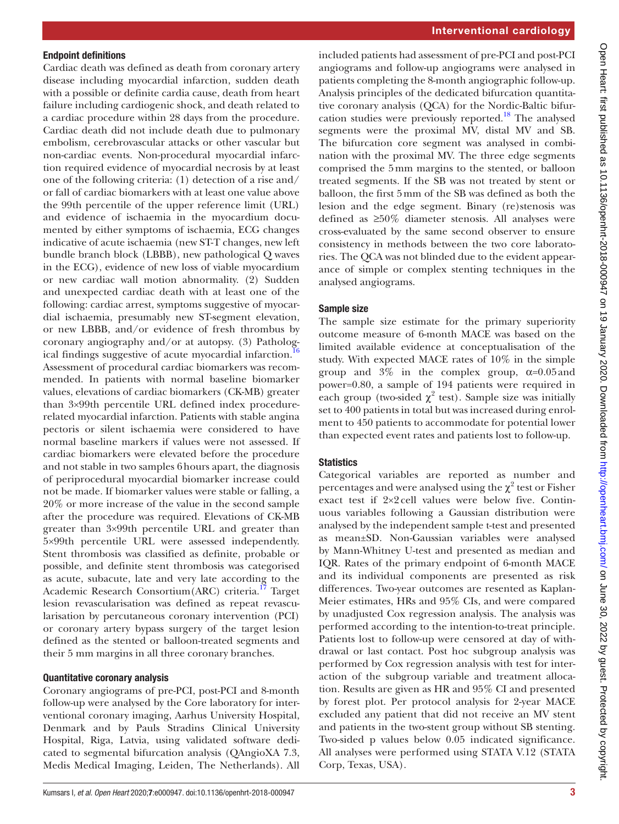#### Endpoint definitions

Cardiac death was defined as death from coronary artery disease including myocardial infarction, sudden death with a possible or definite cardia cause, death from heart failure including cardiogenic shock, and death related to a cardiac procedure within 28 days from the procedure. Cardiac death did not include death due to pulmonary embolism, cerebrovascular attacks or other vascular but non-cardiac events. Non-procedural myocardial infarction required evidence of myocardial necrosis by at least one of the following criteria: (1) detection of a rise and/ or fall of cardiac biomarkers with at least one value above the 99th percentile of the upper reference limit (URL) and evidence of ischaemia in the myocardium documented by either symptoms of ischaemia, ECG changes indicative of acute ischaemia (new ST-T changes, new left bundle branch block (LBBB), new pathological Q waves in the ECG), evidence of new loss of viable myocardium or new cardiac wall motion abnormality. (2) Sudden and unexpected cardiac death with at least one of the following: cardiac arrest, symptoms suggestive of myocardial ischaemia, presumably new ST-segment elevation, or new LBBB, and/or evidence of fresh thrombus by coronary angiography and/or at autopsy. (3) Pathological findings suggestive of acute myocardial infarction.<sup>16</sup> Assessment of procedural cardiac biomarkers was recommended. In patients with normal baseline biomarker values, elevations of cardiac biomarkers (CK-MB) greater than 3×99th percentile URL defined index procedurerelated myocardial infarction. Patients with stable angina pectoris or silent ischaemia were considered to have normal baseline markers if values were not assessed. If cardiac biomarkers were elevated before the procedure and not stable in two samples 6hours apart, the diagnosis of periprocedural myocardial biomarker increase could not be made. If biomarker values were stable or falling, a 20% or more increase of the value in the second sample after the procedure was required. Elevations of CK-MB greater than 3×99th percentile URL and greater than 5×99th percentile URL were assessed independently. Stent thrombosis was classified as definite, probable or possible, and definite stent thrombosis was categorised as acute, subacute, late and very late according to the Academic Research Consortium(ARC) criteria.<sup>17</sup> Target lesion revascularisation was defined as repeat revascularisation by percutaneous coronary intervention (PCI) or coronary artery bypass surgery of the target lesion defined as the stented or balloon-treated segments and their 5 mm margins in all three coronary branches.

#### Quantitative coronary analysis

Coronary angiograms of pre-PCI, post-PCI and 8-month follow-up were analysed by the Core laboratory for interventional coronary imaging, Aarhus University Hospital, Denmark and by Pauls Stradins Clinical University Hospital, Riga, Latvia, using validated software dedicated to segmental bifurcation analysis (QAngioXA 7.3, Medis Medical Imaging, Leiden, The Netherlands). All

included patients had assessment of pre-PCI and post-PCI angiograms and follow-up angiograms were analysed in patients completing the 8-month angiographic follow-up. Analysis principles of the dedicated bifurcation quantitative coronary analysis (QCA) for the Nordic-Baltic bifurcation studies were previously reported.<sup>18</sup> The analysed segments were the proximal MV, distal MV and SB. The bifurcation core segment was analysed in combination with the proximal MV. The three edge segments comprised the 5mm margins to the stented, or balloon treated segments. If the SB was not treated by stent or balloon, the first 5mm of the SB was defined as both the lesion and the edge segment. Binary (re)stenosis was defined as ≥50% diameter stenosis. All analyses were cross-evaluated by the same second observer to ensure consistency in methods between the two core laboratories. The QCA was not blinded due to the evident appearance of simple or complex stenting techniques in the analysed angiograms.

#### Sample size

The sample size estimate for the primary superiority outcome measure of 6-month MACE was based on the limited available evidence at conceptualisation of the study. With expected MACE rates of 10% in the simple group and  $3\%$  in the complex group,  $\alpha=0.05$  and power=0.80, a sample of 194 patients were required in each group (two-sided  $\chi^2$  test). Sample size was initially set to 400 patients in total but was increased during enrolment to 450 patients to accommodate for potential lower than expected event rates and patients lost to follow-up.

#### **Statistics**

Categorical variables are reported as number and percentages and were analysed using the  $\chi^2$  test or Fisher exact test if 2×2 cell values were below five. Continuous variables following a Gaussian distribution were analysed by the independent sample t-test and presented as mean±SD. Non-Gaussian variables were analysed by Mann-Whitney U-test and presented as median and IQR. Rates of the primary endpoint of 6-month MACE and its individual components are presented as risk differences. Two-year outcomes are resented as Kaplan-Meier estimates, HRs and 95% CIs, and were compared by unadjusted Cox regression analysis. The analysis was performed according to the intention-to-treat principle. Patients lost to follow-up were censored at day of withdrawal or last contact. Post hoc subgroup analysis was performed by Cox regression analysis with test for interaction of the subgroup variable and treatment allocation. Results are given as HR and 95% CI and presented by forest plot. Per protocol analysis for 2-year MACE excluded any patient that did not receive an MV stent and patients in the two-stent group without SB stenting. Two-sided p values below 0.05 indicated significance. All analyses were performed using STATA V.12 (STATA Corp, Texas, USA).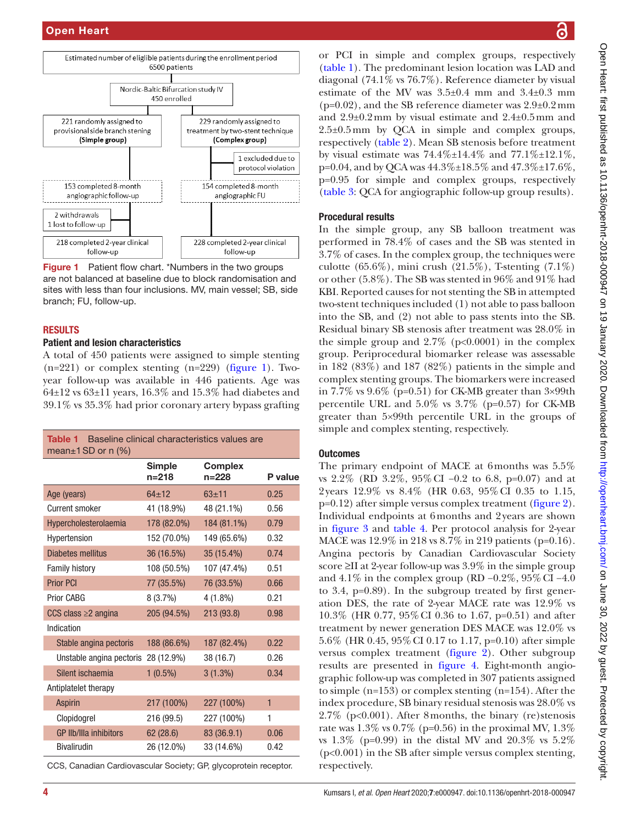

<span id="page-3-0"></span>

#### **RESULTS**

#### Patient and lesion characteristics

A total of 450 patients were assigned to simple stenting  $(n=221)$  or complex stenting  $(n=229)$  [\(figure](#page-3-0) 1). Twoyear follow-up was available in 446 patients. Age was  $64\pm12$  vs  $63\pm11$  years,  $16.3\%$  and  $15.3\%$  had diabetes and 39.1% vs 35.3% had prior coronary artery bypass grafting

<span id="page-3-1"></span>

| Baseline clinical characteristics values are<br>Table 1<br>mean $\pm$ 1 SD or n (%) |                     |                             |              |  |  |  |  |
|-------------------------------------------------------------------------------------|---------------------|-----------------------------|--------------|--|--|--|--|
|                                                                                     | Simple<br>$n = 218$ | <b>Complex</b><br>$n = 228$ | P value      |  |  |  |  |
| Age (years)                                                                         | $64 \pm 12$         | $63 + 11$                   | 0.25         |  |  |  |  |
| <b>Current smoker</b>                                                               | 41 (18.9%)          | 48 (21.1%)                  | 0.56         |  |  |  |  |
| Hypercholesterolaemia                                                               | 178 (82.0%)         | 184 (81.1%)                 | 0.79         |  |  |  |  |
| Hypertension                                                                        | 152 (70.0%)         | 149 (65.6%)                 | 0.32         |  |  |  |  |
| <b>Diabetes mellitus</b>                                                            | 36 (16.5%)          | 35 (15.4%)                  | 0.74         |  |  |  |  |
| Family history                                                                      | 108 (50.5%)         | 107 (47.4%)                 | 0.51         |  |  |  |  |
| <b>Prior PCI</b>                                                                    | 77 (35.5%)          | 76 (33.5%)                  | 0.66         |  |  |  |  |
| Prior CABG                                                                          | 8(3.7%)             | 4 (1.8%)                    | 0.21         |  |  |  |  |
| CCS class $\geq$ angina                                                             | 205 (94.5%)         | 213 (93.8)                  | 0.98         |  |  |  |  |
| Indication                                                                          |                     |                             |              |  |  |  |  |
| Stable angina pectoris                                                              | 188 (86.6%)         | 187 (82.4%)                 | 0.22         |  |  |  |  |
| Unstable angina pectoris 28 (12.9%)                                                 |                     | 38 (16.7)                   | 0.26         |  |  |  |  |
| Silent ischaemia                                                                    | $1(0.5\%)$          | $3(1.3\%)$                  | 0.34         |  |  |  |  |
| Antiplatelet therapy                                                                |                     |                             |              |  |  |  |  |
| <b>Aspirin</b>                                                                      | 217 (100%)          | 227 (100%)                  | $\mathbf{1}$ |  |  |  |  |
| Clopidogrel                                                                         | 216 (99.5)          | 227 (100%)                  | 1            |  |  |  |  |
| GP IIb/IIIa inhibitors                                                              | 62 (28.6)           | 83 (36.9.1)                 | 0.06         |  |  |  |  |
| <b>Bivalirudin</b>                                                                  | 26 (12.0%)          | 33 (14.6%)                  | 0.42         |  |  |  |  |

CCS, Canadian Cardiovascular Society; GP, glycoprotein receptor.

2.5±0.5mm by QCA in simple and complex groups, respectively [\(table](#page-4-0) 2). Mean SB stenosis before treatment by visual estimate was  $74.4\% \pm 14.4\%$  and  $77.1\% \pm 12.1\%$ , p=0.04, and by OCA was  $44.3\% \pm 18.5\%$  and  $47.3\% \pm 17.6\%$ . p=0.95 for simple and complex groups, respectively [\(table](#page-5-0) 3: QCA for angiographic follow-up group results).

or PCI in simple and complex groups, respectively [\(table](#page-3-1) 1). The predominant lesion location was LAD and diagonal (74.1% vs 76.7%). Reference diameter by visual estimate of the MV was 3.5±0.4 mm and 3.4±0.3 mm  $(p=0.02)$ , and the SB reference diameter was  $2.9\pm0.2$  mm and 2.9±0.2mm by visual estimate and 2.4±0.5mm and

## Procedural results

In the simple group, any SB balloon treatment was performed in 78.4% of cases and the SB was stented in 3.7% of cases. In the complex group, the techniques were culotte (65.6%), mini crush (21.5%), T-stenting (7.1%) or other (5.8%). The SB was stented in 96% and 91% had KBI. Reported causes for not stenting the SB in attempted two-stent techniques included (1) not able to pass balloon into the SB, and (2) not able to pass stents into the SB. Residual binary SB stenosis after treatment was 28.0% in the simple group and  $2.7\%$  (p<0.0001) in the complex group. Periprocedural biomarker release was assessable in 182 (83%) and 187 (82%) patients in the simple and complex stenting groups. The biomarkers were increased in 7.7% vs 9.6% (p=0.51) for CK-MB greater than 3×99th percentile URL and  $5.0\%$  vs  $3.7\%$  (p=0.57) for CK-MB greater than 5×99th percentile URL in the groups of simple and complex stenting, respectively.

#### **Outcomes**

The primary endpoint of MACE at 6months was 5.5% vs 2.2% (RD 3.2%, 95%CI −0.2 to 6.8, p=0.07) and at 2years 12.9% vs 8.4% (HR 0.63, 95%CI 0.35 to 1.15,  $p=0.12$ ) after simple versus complex treatment [\(figure](#page-6-0) 2). Individual endpoints at 6months and 2years are shown in [figure](#page-7-0) 3 and [table](#page-8-0) 4. Per protocol analysis for 2-year MACE was 12.9% in 218 vs 8.7% in 219 patients (p=0.16). Angina pectoris by Canadian Cardiovascular Society score ≥II at 2-year follow-up was 3.9% in the simple group and 4.1% in the complex group (RD −0.2%, 95%CI −4.0 to 3.4, p=0.89). In the subgroup treated by first generation DES, the rate of 2-year MACE rate was 12.9% vs 10.3% (HR 0.77, 95%CI 0.36 to 1.67, p=0.51) and after treatment by newer generation DES MACE was 12.0% vs 5.6% (HR 0.45, 95%CI 0.17 to 1.17, p=0.10) after simple versus complex treatment ([figure](#page-6-0) 2). Other subgroup results are presented in [figure](#page-9-0) 4. Eight-month angiographic follow-up was completed in 307 patients assigned to simple (n=153) or complex stenting (n=154). After the index procedure, SB binary residual stenosis was 28.0% vs 2.7% (p<0.001). After 8months, the binary (re)stenosis rate was  $1.3\%$  vs  $0.7\%$  (p=0.56) in the proximal MV,  $1.3\%$ vs 1.3% (p=0.99) in the distal MV and 20.3% vs 5.2% (p<0.001) in the SB after simple versus complex stenting, respectively.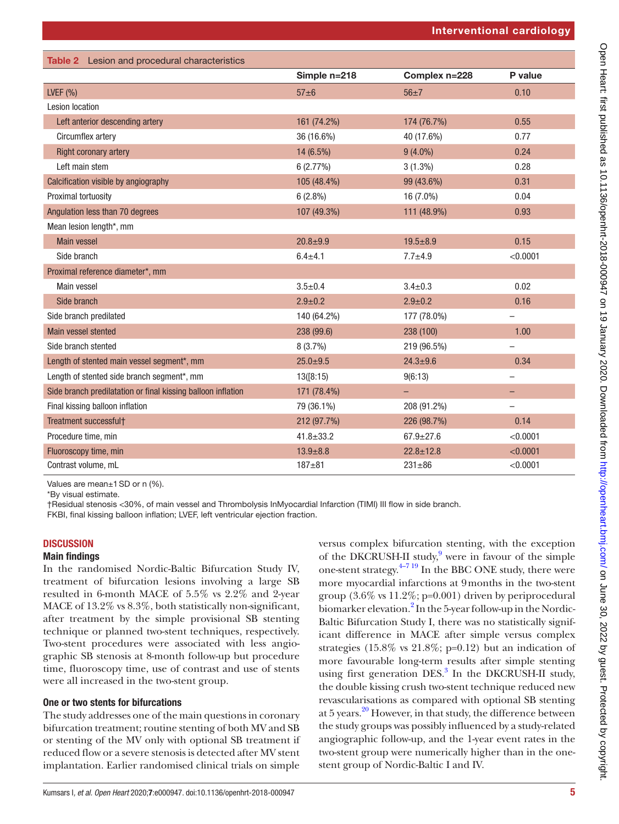<span id="page-4-0"></span>

| Table 2 Lesion and procedural characteristics                |                 |                 |                          |
|--------------------------------------------------------------|-----------------|-----------------|--------------------------|
|                                                              | Simple n=218    | Complex n=228   | P value                  |
| LVEF $(% )$                                                  | $57\pm6$        | $56 + 7$        | 0.10                     |
| <b>Lesion location</b>                                       |                 |                 |                          |
| Left anterior descending artery                              | 161 (74.2%)     | 174 (76.7%)     | 0.55                     |
| Circumflex artery                                            | 36 (16.6%)      | 40 (17.6%)      | 0.77                     |
| <b>Right coronary artery</b>                                 | 14 (6.5%)       | $9(4.0\%)$      | 0.24                     |
| Left main stem                                               | 6(2.77%)        | $3(1.3\%)$      | 0.28                     |
| Calcification visible by angiography                         | 105 (48.4%)     | 99 (43.6%)      | 0.31                     |
| Proximal tortuosity                                          | $6(2.8\%)$      | 16 (7.0%)       | 0.04                     |
| Angulation less than 70 degrees                              | 107 (49.3%)     | 111 (48.9%)     | 0.93                     |
| Mean lesion length*, mm                                      |                 |                 |                          |
| <b>Main vessel</b>                                           | $20.8 + 9.9$    | $19.5 + 8.9$    | 0.15                     |
| Side branch                                                  | $6.4 + 4.1$     | $7.7 + 4.9$     | < 0.0001                 |
| Proximal reference diameter*, mm                             |                 |                 |                          |
| Main vessel                                                  | $3.5 \pm 0.4$   | $3.4 \pm 0.3$   | 0.02                     |
| Side branch                                                  | $2.9 + 0.2$     | $2.9 + 0.2$     | 0.16                     |
| Side branch predilated                                       | 140 (64.2%)     | 177 (78.0%)     | $\overline{\phantom{0}}$ |
| Main vessel stented                                          | 238 (99.6)      | 238 (100)       | 1.00                     |
| Side branch stented                                          | 8(3.7%)         | 219 (96.5%)     | $\equiv$                 |
| Length of stented main vessel segment*, mm                   | $25.0 \pm 9.5$  | $24.3 + 9.6$    | 0.34                     |
| Length of stented side branch segment*, mm                   | 13([8:15)       | 9(6:13)         | $\overline{\phantom{0}}$ |
| Side branch predilatation or final kissing balloon inflation | 171 (78.4%)     | ÷,              | -                        |
| Final kissing balloon inflation                              | 79 (36.1%)      | 208 (91.2%)     | $\overline{\phantom{0}}$ |
| Treatment successfult                                        | 212 (97.7%)     | 226 (98.7%)     | 0.14                     |
| Procedure time, min                                          | $41.8 \pm 33.2$ | $67.9 \pm 27.6$ | < 0.0001                 |
| Fluoroscopy time, min                                        | $13.9 \pm 8.8$  | $22.8 \pm 12.8$ | < 0.0001                 |
| Contrast volume, mL                                          | $187 + 81$      | $231 + 86$      | < 0.0001                 |

Values are mean±1SD or n (%).

\*By visual estimate.

†Residual stenosis <30%, of main vessel and Thrombolysis InMyocardial Infarction (TIMI) III flow in side branch.

FKBI, final kissing balloon inflation; LVEF, left ventricular ejection fraction.

#### **DISCUSSION**

#### Main findings

In the randomised Nordic-Baltic Bifurcation Study IV, treatment of bifurcation lesions involving a large SB resulted in 6-month MACE of 5.5% vs 2.2% and 2-year MACE of 13.2% vs 8.3%, both statistically non-significant, after treatment by the simple provisional SB stenting technique or planned two-stent techniques, respectively. Two-stent procedures were associated with less angiographic SB stenosis at 8-month follow-up but procedure time, fluoroscopy time, use of contrast and use of stents were all increased in the two-stent group.

#### One or two stents for bifurcations

The study addresses one of the main questions in coronary bifurcation treatment; routine stenting of both MV and SB or stenting of the MV only with optional SB treatment if reduced flow or a severe stenosis is detected after MV stent implantation. Earlier randomised clinical trials on simple

Kumsars I*, et al. Open Heart* 2020;7:e000947. doi:10.1136/openhrt-2018-000947 5

versus complex bifurcation stenting, with the exception of the DKCRUSH-II study,<sup>[9](#page-11-0)</sup> were in favour of the simple one-stent strategy. $4-719$  In the BBC ONE study, there were more myocardial infarctions at 9months in the two-stent group (3.6% vs 11.2%; p=0.001) driven by periprocedural biomarker elevation.<sup>2</sup> In the 5-year follow-up in the Nordic-Baltic Bifurcation Study I, there was no statistically significant difference in MACE after simple versus complex strategies  $(15.8\% \text{ vs } 21.8\%; \text{p=0.12})$  but an indication of more favourable long-term results after simple stenting using first generation DES.<sup>[3](#page-10-3)</sup> In the DKCRUSH-II study, the double kissing crush two-stent technique reduced new revascularisations as compared with optional SB stenting at 5 years[.20](#page-11-10) However, in that study, the difference between the study groups was possibly influenced by a study-related angiographic follow-up, and the 1-year event rates in the two-stent group were numerically higher than in the onestent group of Nordic-Baltic I and IV.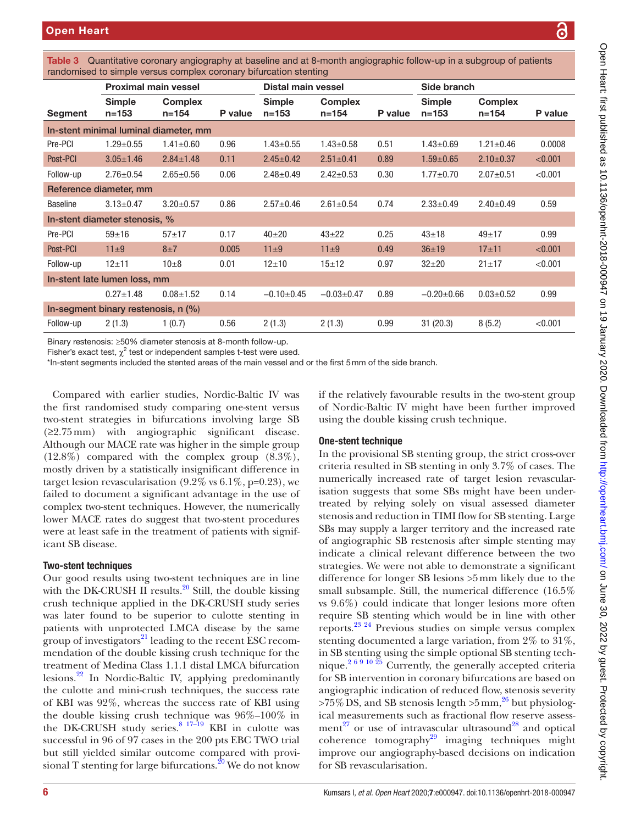| randomised to simple versus complex coronary bifurcation stenting |                               |                             |         |                            |                             |         |                            |                             |         |
|-------------------------------------------------------------------|-------------------------------|-----------------------------|---------|----------------------------|-----------------------------|---------|----------------------------|-----------------------------|---------|
|                                                                   | <b>Proximal main vessel</b>   |                             |         | Distal main vessel         |                             |         | Side branch                |                             |         |
| Segment                                                           | <b>Simple</b><br>$n = 153$    | <b>Complex</b><br>$n = 154$ | P value | <b>Simple</b><br>$n = 153$ | <b>Complex</b><br>$n = 154$ | P value | <b>Simple</b><br>$n = 153$ | <b>Complex</b><br>$n = 154$ | P value |
| In-stent minimal luminal diameter, mm                             |                               |                             |         |                            |                             |         |                            |                             |         |
| Pre-PCI                                                           | $1.29 \pm 0.55$               | $1.41 \pm 0.60$             | 0.96    | $1.43 \pm 0.55$            | $1.43 \pm 0.58$             | 0.51    | $1.43 \pm 0.69$            | $1.21 \pm 0.46$             | 0.0008  |
| Post-PCI                                                          | $3.05 \pm 1.46$               | $2.84 \pm 1.48$             | 0.11    | $2.45 \pm 0.42$            | $2.51 \pm 0.41$             | 0.89    | $1.59 \pm 0.65$            | $2.10 \pm 0.37$             | < 0.001 |
| Follow-up                                                         | $2.76 \pm 0.54$               | $2.65 \pm 0.56$             | 0.06    | $2.48 \pm 0.49$            | $2.42 \pm 0.53$             | 0.30    | $1.77 + 0.70$              | $2.07 \pm 0.51$             | < 0.001 |
|                                                                   | Reference diameter, mm        |                             |         |                            |                             |         |                            |                             |         |
| <b>Baseline</b>                                                   | $3.13 \pm 0.47$               | $3.20 \pm 0.57$             | 0.86    | $2.57 \pm 0.46$            | $2.61 \pm 0.54$             | 0.74    | $2.33 \pm 0.49$            | $2.40 \pm 0.49$             | 0.59    |
|                                                                   | In-stent diameter stenosis, % |                             |         |                            |                             |         |                            |                             |         |
| Pre-PCI                                                           | $59 + 16$                     | $57 + 17$                   | 0.17    | $40+20$                    | $43 + 22$                   | 0.25    | $43 + 18$                  | $49+17$                     | 0.99    |
| Post-PCI                                                          | $11\pm9$                      | $8\pm7$                     | 0.005   | $11\pm9$                   | $11\pm9$                    | 0.49    | $36 + 19$                  | $17 + 11$                   | < 0.001 |
| Follow-up                                                         | $12 + 11$                     | $10\pm8$                    | 0.01    | $12+10$                    | $15 + 12$                   | 0.97    | $32 + 20$                  | $21 \pm 17$                 | < 0.001 |
| In-stent late lumen loss, mm                                      |                               |                             |         |                            |                             |         |                            |                             |         |
|                                                                   | $0.27 + 1.48$                 | $0.08 + 1.52$               | 0.14    | $-0.10+0.45$               | $-0.03 \pm 0.47$            | 0.89    | $-0.20+0.66$               | $0.03 \pm 0.52$             | 0.99    |
| In-segment binary restenosis, $n$ $\left(\% \right)$              |                               |                             |         |                            |                             |         |                            |                             |         |
| Follow-up                                                         | 2(1.3)                        | 1(0.7)                      | 0.56    | 2(1.3)                     | 2(1.3)                      | 0.99    | 31(20.3)                   | 8(5.2)                      | < 0.001 |

<span id="page-5-0"></span>Table 3 Quantitative coronary angiography at baseline and at 8-month angiographic follow-up in a subgroup of patients

Binary restenosis: ≥50% diameter stenosis at 8-month follow-up.

Fisher's exact test,  $\chi^2$  test or independent samples t-test were used.

\*In-stent segments included the stented areas of the main vessel and or the first 5mm of the side branch.

Compared with earlier studies, Nordic-Baltic IV was the first randomised study comparing one-stent versus two-stent strategies in bifurcations involving large SB (≥2.75mm) with angiographic significant disease. Although our MACE rate was higher in the simple group (12.8%) compared with the complex group (8.3%), mostly driven by a statistically insignificant difference in target lesion revascularisation  $(9.2\% \text{ vs } 6.1\%, \text{p=0.23})$ , we failed to document a significant advantage in the use of complex two-stent techniques. However, the numerically lower MACE rates do suggest that two-stent procedures were at least safe in the treatment of patients with significant SB disease.

#### Two-stent techniques

Our good results using two-stent techniques are in line with the DK-CRUSH II results. $20$  Still, the double kissing crush technique applied in the DK-CRUSH study series was later found to be superior to culotte stenting in patients with unprotected LMCA disease by the same group of investigators<sup>21</sup> leading to the recent ESC recommendation of the double kissing crush technique for the treatment of Medina Class 1.1.1 distal LMCA bifurcation lesions[.22](#page-11-12) In Nordic-Baltic IV, applying predominantly the culotte and mini-crush techniques, the success rate of KBI was 92%, whereas the success rate of KBI using the double kissing crush technique was 96%–100% in the DK-CRUSH study series.<sup>8</sup>  $17-\frac{19}{19}$  KBI in culotte was successful in 96 of 97 cases in the 200 pts EBC TWO trial but still yielded similar outcome compared with provisional T stenting for large bifurcations. $20$  We do not know

if the relatively favourable results in the two-stent group of Nordic-Baltic IV might have been further improved using the double kissing crush technique.

#### One-stent technique

In the provisional SB stenting group, the strict cross-over criteria resulted in SB stenting in only 3.7% of cases. The numerically increased rate of target lesion revascularisation suggests that some SBs might have been undertreated by relying solely on visual assessed diameter stenosis and reduction in TIMI flow for SB stenting. Large SBs may supply a larger territory and the increased rate of angiographic SB restenosis after simple stenting may indicate a clinical relevant difference between the two strategies. We were not able to demonstrate a significant difference for longer SB lesions >5mm likely due to the small subsample. Still, the numerical difference (16.5% vs 9.6%) could indicate that longer lesions more often require SB stenting which would be in line with other reports.[23 24](#page-11-14) Previous studies on simple versus complex stenting documented a large variation, from 2% to 31%, in SB stenting using the simple optional SB stenting technique. $2^{69}$  10  $25$  Currently, the generally accepted criteria for SB intervention in coronary bifurcations are based on angiographic indication of reduced flow, stenosis severity  $>75\%$  DS, and SB stenosis length  $>5$  mm,<sup>26</sup> but physiological measurements such as fractional flow reserve assess-ment<sup>27</sup> or use of intravascular ultrasound<sup>[28](#page-11-17)</sup> and optical coherence tomography<sup>29</sup> imaging techniques might improve our angiography-based decisions on indication for SB revascularisation.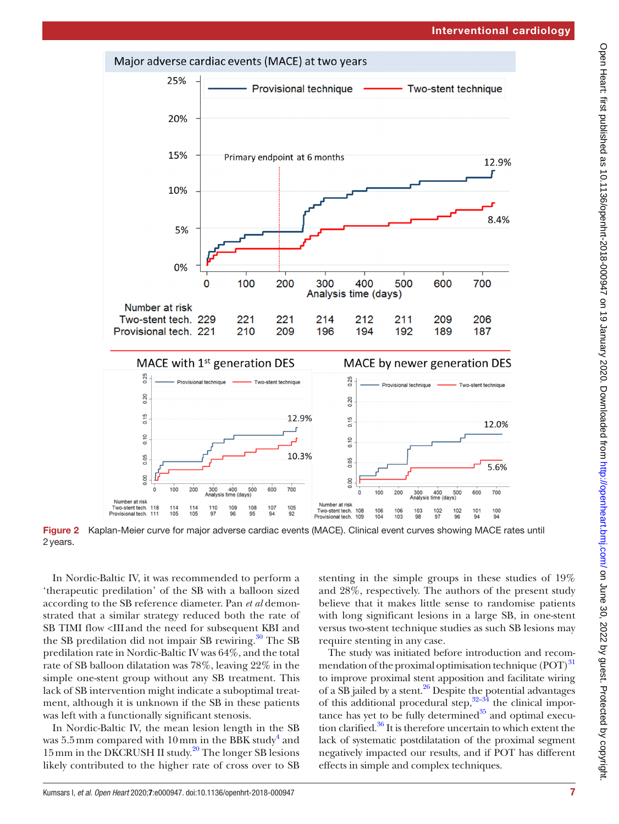

<span id="page-6-0"></span>Figure 2 Kaplan-Meier curve for major adverse cardiac events (MACE). Clinical event curves showing MACE rates until 2years.

In Nordic-Baltic IV, it was recommended to perform a 'therapeutic predilation' of the SB with a balloon sized according to the SB reference diameter. Pan *et al* demonstrated that a similar strategy reduced both the rate of SB TIMI flow <III and the need for subsequent KBI and the SB predilation did not impair SB rewiring. $30$  The SB predilation rate in Nordic-Baltic IV was 64%, and the total rate of SB balloon dilatation was 78%, leaving 22% in the simple one-stent group without any SB treatment. This lack of SB intervention might indicate a suboptimal treatment, although it is unknown if the SB in these patients was left with a functionally significant stenosis.

In Nordic-Baltic IV, the mean lesion length in the SB was  $5.5\,\mathrm{mm}$  compared with  $10\,\mathrm{mm}$  in the BBK study<sup>[4](#page-10-2)</sup> and 15mm in the DKCRUSH II study. [20](#page-11-10) The longer SB lesions likely contributed to the higher rate of cross over to SB

stenting in the simple groups in these studies of 19% and 28%, respectively. The authors of the present study believe that it makes little sense to randomise patients with long significant lesions in a large SB, in one-stent versus two-stent technique studies as such SB lesions may require stenting in any case.

The study was initiated before introduction and recommendation of the proximal optimisation technique (POT)<sup>31</sup> to improve proximal stent apposition and facilitate wiring of a  $\overline{SB}$  jailed by a stent.<sup>26</sup> Despite the potential advantages of this additional procedural step, $32-34$  the clinical importance has yet to be fully determined $35$  and optimal execution clarified. $36$  It is therefore uncertain to which extent the lack of systematic postdilatation of the proximal segment negatively impacted our results, and if POT has different effects in simple and complex techniques.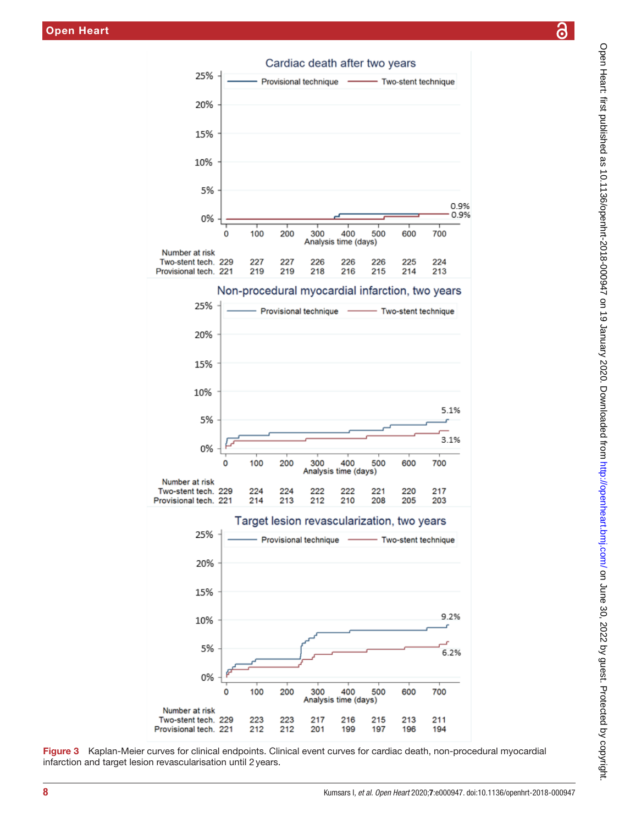

<span id="page-7-0"></span>Figure 3 Kaplan-Meier curves for clinical endpoints. Clinical event curves for cardiac death, non-procedural myocardial infarction and target lesion revascularisation until 2years.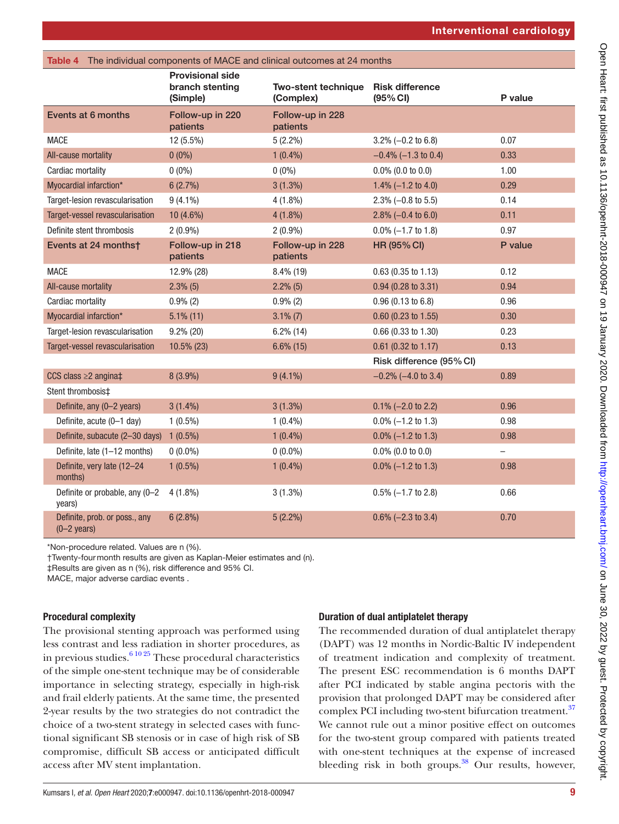<span id="page-8-0"></span>

| The individual components of MACE and clinical outcomes at 24 months<br>Table 4 |                                                        |                                      |                                    |                          |  |  |  |
|---------------------------------------------------------------------------------|--------------------------------------------------------|--------------------------------------|------------------------------------|--------------------------|--|--|--|
|                                                                                 | <b>Provisional side</b><br>branch stenting<br>(Simple) | Two-stent technique<br>(Complex)     | <b>Risk difference</b><br>(95% CI) | P value                  |  |  |  |
| Events at 6 months                                                              | Follow-up in 220<br>patients                           | Follow-up in 228<br>patients         |                                    |                          |  |  |  |
| <b>MACE</b>                                                                     | 12 (5.5%)                                              | $5(2.2\%)$                           | $3.2\% (-0.2 \text{ to } 6.8)$     | 0.07                     |  |  |  |
| All-cause mortality                                                             | $0(0\%)$                                               | $1(0.4\%)$                           | $-0.4\%$ (-1.3 to 0.4)             | 0.33                     |  |  |  |
| Cardiac mortality                                                               | $0(0\%)$                                               | $0(0\%)$                             | $0.0\%$ (0.0 to 0.0)               | 1.00                     |  |  |  |
| Myocardial infarction*                                                          | 6(2.7%)                                                | $3(1.3\%)$                           | 1.4% $(-1.2 \text{ to } 4.0)$      | 0.29                     |  |  |  |
| Target-lesion revascularisation                                                 | $9(4.1\%)$                                             | $4(1.8\%)$                           | $2.3\% (-0.8 \text{ to } 5.5)$     | 0.14                     |  |  |  |
| Target-vessel revascularisation                                                 | 10 (4.6%)                                              | $4(1.8\%)$                           | 2.8% $(-0.4 \text{ to } 6.0)$      | 0.11                     |  |  |  |
| Definite stent thrombosis                                                       | $2(0.9\%)$                                             | $2(0.9\%)$                           | $0.0\% (-1.7 \text{ to } 1.8)$     | 0.97                     |  |  |  |
| Events at 24 months†                                                            | Follow-up in 218<br>patients                           | Follow-up in 228<br>patients         | <b>HR (95% CI)</b>                 | P value                  |  |  |  |
| <b>MACE</b>                                                                     | 12.9% (28)                                             | 8.4% (19)                            | $0.63$ (0.35 to 1.13)              | 0.12                     |  |  |  |
| All-cause mortality                                                             | $2.3\%$ (5)                                            | $2.2\%$ (5)<br>$0.94$ (0.28 to 3.31) |                                    | 0.94                     |  |  |  |
| Cardiac mortality                                                               | $0.9\%$ (2)                                            | $0.9\%$ (2)<br>0.96(0.13 to 6.8)     |                                    | 0.96                     |  |  |  |
| Myocardial infarction*                                                          | $5.1\%$ (11)                                           | $3.1\%$ (7)                          | $0.60$ (0.23 to 1.55)              | 0.30                     |  |  |  |
| Target-lesion revascularisation                                                 | $9.2\%$ (20)                                           | $6.2\%$ (14)                         | $0.66$ (0.33 to 1.30)              | 0.23                     |  |  |  |
| Target-vessel revascularisation                                                 | 10.5% (23)                                             | $6.6\%$ (15)                         | $0.61$ (0.32 to 1.17)              | 0.13                     |  |  |  |
|                                                                                 |                                                        |                                      | Risk difference (95% CI)           |                          |  |  |  |
| CCS class $\geq$ 2 angina $\ddagger$                                            | 8 (3.9%)                                               | $9(4.1\%)$                           | $-0.2\%$ (-4.0 to 3.4)             | 0.89                     |  |  |  |
| Stent thrombosis <sup>±</sup>                                                   |                                                        |                                      |                                    |                          |  |  |  |
| Definite, any (0-2 years)                                                       | $3(1.4\%)$                                             | 3(1.3%)                              | $0.1\% (-2.0 \text{ to } 2.2)$     | 0.96                     |  |  |  |
| Definite, acute (0-1 day)                                                       | $1(0.5\%)$                                             | $1(0.4\%)$                           | $0.0\% (-1.2 \text{ to } 1.3)$     | 0.98                     |  |  |  |
| Definite, subacute (2-30 days)                                                  | $1(0.5\%)$                                             | $1(0.4\%)$                           | $0.0\%$ (-1.2 to 1.3)              | 0.98                     |  |  |  |
| Definite, late (1-12 months)                                                    | $0(0.0\%)$                                             | $0(0.0\%)$                           | $0.0\%$ (0.0 to 0.0)               | $\overline{\phantom{0}}$ |  |  |  |
| Definite, very late (12-24<br>months)                                           | $1(0.5\%)$                                             | $1(0.4\%)$                           | $0.0\% (-1.2 \text{ to } 1.3)$     | 0.98                     |  |  |  |
| Definite or probable, any (0-2<br>years)                                        | $4(1.8\%)$                                             | $3(1.3\%)$                           | $0.5\%$ (-1.7 to 2.8)              | 0.66                     |  |  |  |
| Definite, prob. or poss., any<br>$(0-2 \text{ years})$                          | $6(2.8\%)$                                             | $5(2.2\%)$                           | $0.6\%$ (-2.3 to 3.4)              | 0.70                     |  |  |  |

\*Non-procedure related. Values are n (%).

†Twenty-fourmonth results are given as Kaplan-Meier estimates and (n).

‡Results are given as n (%), risk difference and 95% CI.

MACE, major adverse cardiac events .

## Procedural complexity

The provisional stenting approach was performed using less contrast and less radiation in shorter procedures, as in previous studies. $61025$  These procedural characteristics of the simple one-stent technique may be of considerable importance in selecting strategy, especially in high-risk and frail elderly patients. At the same time, the presented 2-year results by the two strategies do not contradict the choice of a two-stent strategy in selected cases with functional significant SB stenosis or in case of high risk of SB compromise, difficult SB access or anticipated difficult access after MV stent implantation.

# Duration of dual antiplatelet therapy

The recommended duration of dual antiplatelet therapy (DAPT) was 12 months in Nordic-Baltic IV independent of treatment indication and complexity of treatment. The present ESC recommendation is 6 months DAPT after PCI indicated by stable angina pectoris with the provision that prolonged DAPT may be considered after complex PCI including two-stent bifurcation treatment.<sup>[37](#page-11-24)</sup> We cannot rule out a minor positive effect on outcomes for the two-stent group compared with patients treated with one-stent techniques at the expense of increased bleeding risk in both groups. $38$  Our results, however,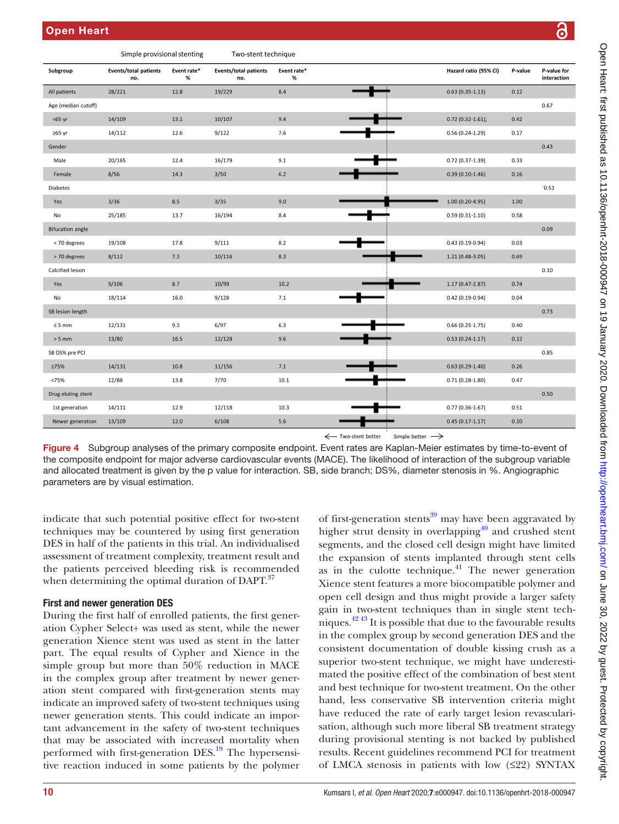Simple provisional stanting

|                         | Sumple provisional stemmig          |                  | TWO-Sterit technique                |                  |                    |                             |                       |         |                            |
|-------------------------|-------------------------------------|------------------|-------------------------------------|------------------|--------------------|-----------------------------|-----------------------|---------|----------------------------|
| Subgroup                | <b>Events/total patients</b><br>no. | Event rate*<br>% | <b>Events/total patients</b><br>no. | Event rate*<br>% |                    |                             | Hazard ratio (95% CI) | P-value | P-value for<br>interaction |
| All patients            | 28/221                              | 12.8             | 19/229                              | $8.4\,$          |                    |                             | $0.63(0.35-1.13)$     | 0.12    |                            |
| Age (median cutoff)     |                                     |                  |                                     |                  |                    |                             |                       |         | 0.67                       |
| $<$ 65 yr               | 14/109                              | 13.1             | 10/107                              | 9.4              |                    |                             | $0.72$ (0.32-1.61),   | 0.42    |                            |
| $\geq 65$ yr            | 14/112                              | 12.6             | 9/122                               | 7.6              |                    |                             | $0.56(0.24-1.29)$     | 0.17    |                            |
| Gender                  |                                     |                  |                                     |                  |                    |                             |                       |         | 0.43                       |
| Male                    | 20/165                              | 12.4             | 16/179                              | 9.1              |                    |                             | $0.72(0.37-1.39)$     | 0.33    |                            |
| Female                  | 8/56                                | 14.3             | 3/50                                | 6.2              |                    |                             | $0.39(0.10-1.46)$     | 0.16    |                            |
| Diabetes                |                                     |                  |                                     |                  |                    |                             |                       |         | '0.53                      |
| Yes                     | 3/36                                | 8.5              | 3/35                                | 9.0              |                    |                             | 1.00 (0.20-4.95)      | 1.00    |                            |
| No                      | 25/185                              | 13.7             | 16/194                              | 8.4              |                    |                             | $0.59(0.31-1.10)$     | 0.58    |                            |
| <b>Bifucation angle</b> |                                     |                  |                                     |                  |                    |                             |                       |         | 0.09                       |
| < 70 degrees            | 19/108                              | 17.8             | 9/111                               | 8.2              |                    |                             | $0.43(0.19-0.94)$     | 0.03    |                            |
| > 70 degrees            | 8/112                               | $7.3$            | 10/116                              | $8.3\,$          |                    |                             | $1.21(0.48-3.05)$     | 0.69    |                            |
| Calcified lesion        |                                     |                  |                                     |                  |                    |                             |                       |         | 0.10                       |
| Yes                     | 9/106                               | 8.7              | 10/99                               | 10.2             |                    |                             | $1.17(0.47 - 2.87)$   | 0.74    |                            |
| No                      | 18/114                              | 16.0             | 9/128                               | $7.1\,$          |                    |                             | $0.42(0.19-0.94)$     | 0.04    |                            |
| SB lesion length        |                                     |                  |                                     |                  |                    |                             |                       |         | 0.73                       |
| $\leq 5$ mm             | 12/131                              | 9.3              | 6/97                                | 6.3              |                    |                             | $0.66(0.25-1.75)$     | 0.40    |                            |
| $> 5$ mm                | 13/80                               | 16.5             | 12/128                              | 9.6              |                    |                             | $0.53(0.24-1.17)$     | 0.12    |                            |
| SB DS% pre PCI          |                                     |                  |                                     |                  |                    |                             |                       |         | 0.85                       |
| 275%                    | 14/131                              | 10.8             | 11/156                              | 7.1              |                    |                             | $0.63(0.29-1.40)$     | 0.26    |                            |
| <75%                    | 12/88                               | 13.8             | 7/70                                | 10.1             |                    |                             | $0.71(0.28-1.80)$     | 0.47    |                            |
| Drug eluting stent      |                                     |                  |                                     |                  |                    |                             |                       |         | 0.50                       |
| 1st generation          | 14/111                              | 12.9             | 12/118                              | 10.3             |                    |                             | $0.77(0.36 - 1.67)$   | 0.51    |                            |
| Newer generation        | 13/109                              | 12.0             | 6/108                               | 5.6              |                    |                             | $0.45(0.17-1.17)$     | 0.10    |                            |
|                         |                                     |                  |                                     |                  | ← Two-stent better | Simple better $\rightarrow$ |                       |         |                            |

Two stant tooppique

<span id="page-9-0"></span>Figure 4 Subgroup analyses of the primary composite endpoint. Event rates are Kaplan-Meier estimates by time-to-event of the composite endpoint for major adverse cardiovascular events (MACE). The likelihood of interaction of the subgroup variable and allocated treatment is given by the p value for interaction. SB, side branch; DS%, diameter stenosis in %. Angiographic parameters are by visual estimation.

indicate that such potential positive effect for two-stent techniques may be countered by using first generation DES in half of the patients in this trial. An individualised assessment of treatment complexity, treatment result and the patients perceived bleeding risk is recommended when determining the optimal duration of DAPT. $37$ 

#### First and newer generation DES

During the first half of enrolled patients, the first generation Cypher Select+ was used as stent, while the newer generation Xience stent was used as stent in the latter part. The equal results of Cypher and Xience in the simple group but more than 50% reduction in MACE in the complex group after treatment by newer generation stent compared with first-generation stents may indicate an improved safety of two-stent techniques using newer generation stents. This could indicate an important advancement in the safety of two-stent techniques that may be associated with increased mortality when performed with first-generation DES.<sup>[19](#page-11-26)</sup> The hypersensitive reaction induced in some patients by the polymer

of first-generation stents $39 \text{ may have been aggregated by}$  $39 \text{ may have been aggregated by}$ higher strut density in overlapping<sup>40</sup> and crushed stent segments, and the closed cell design might have limited the expansion of stents implanted through stent cells as in the culotte technique. $41$  The newer generation Xience stent features a more biocompatible polymer and open cell design and thus might provide a larger safety gain in two-stent techniques than in single stent techniques[.42 43](#page-11-30) It is possible that due to the favourable results in the complex group by second generation DES and the consistent documentation of double kissing crush as a superior two-stent technique, we might have underestimated the positive effect of the combination of best stent and best technique for two-stent treatment. On the other hand, less conservative SB intervention criteria might have reduced the rate of early target lesion revascularisation, although such more liberal SB treatment strategy during provisional stenting is not backed by published results. Recent guidelines recommend PCI for treatment of LMCA stenosis in patients with low (≤22) SYNTAX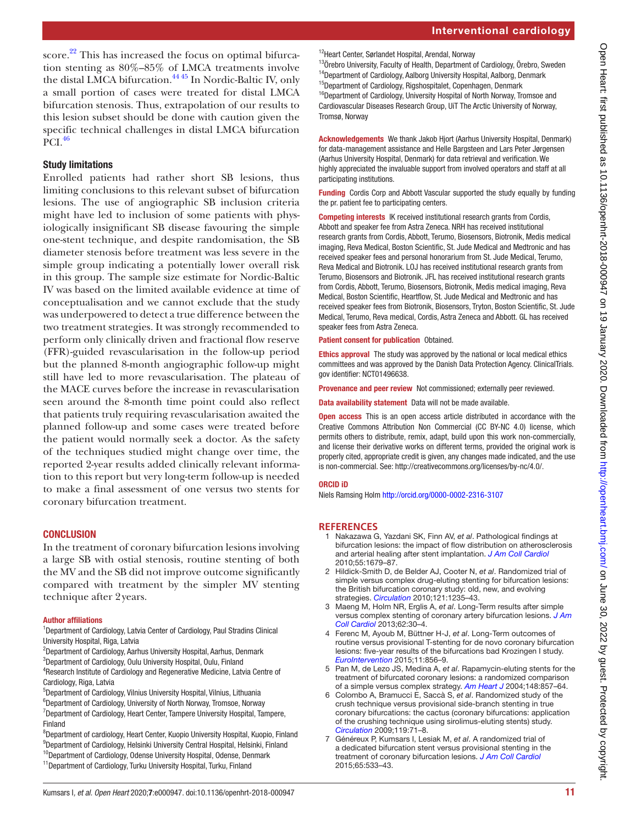score. $22$  This has increased the focus on optimal bifurcation stenting as 80%–85% of LMCA treatments involve the distal LMCA bifurcation.<sup>[44 45](#page-11-31)</sup> In Nordic-Baltic IV, only a small portion of cases were treated for distal LMCA bifurcation stenosis. Thus, extrapolation of our results to this lesion subset should be done with caution given the specific technical challenges in distal LMCA bifurcation PCI.<sup>[46](#page-11-32)</sup>

# Study limitations

Enrolled patients had rather short SB lesions, thus limiting conclusions to this relevant subset of bifurcation lesions. The use of angiographic SB inclusion criteria might have led to inclusion of some patients with physiologically insignificant SB disease favouring the simple one-stent technique, and despite randomisation, the SB diameter stenosis before treatment was less severe in the simple group indicating a potentially lower overall risk in this group. The sample size estimate for Nordic-Baltic IV was based on the limited available evidence at time of conceptualisation and we cannot exclude that the study was underpowered to detect a true difference between the two treatment strategies. It was strongly recommended to perform only clinically driven and fractional flow reserve (FFR)-guided revascularisation in the follow-up period but the planned 8-month angiographic follow-up might still have led to more revascularisation. The plateau of the MACE curves before the increase in revascularisation seen around the 8-month time point could also reflect that patients truly requiring revascularisation awaited the planned follow-up and some cases were treated before the patient would normally seek a doctor. As the safety of the techniques studied might change over time, the reported 2-year results added clinically relevant information to this report but very long-term follow-up is needed to make a final assessment of one versus two stents for coronary bifurcation treatment.

# **CONCLUSION**

In the treatment of coronary bifurcation lesions involving a large SB with ostial stenosis, routine stenting of both the MV and the SB did not improve outcome significantly compared with treatment by the simpler MV stenting technique after 2years.

## Author affiliations

<sup>1</sup>Department of Cardiology, Latvia Center of Cardiology, Paul Stradins Clinical University Hospital, Riga, Latvia

- 2 Department of Cardiology, Aarhus University Hospital, Aarhus, Denmark 3 Department of Cardiology, Oulu University Hospital, Oulu, Finland
- 4 Research Institute of Cardiology and Regenerative Medicine, Latvia Centre of Cardiology, Riga, Latvia
- 5 Department of Cardiology, Vilnius University Hospital, Vilnius, Lithuania
- 6 Department of Cardiology, University of North Norway, Tromsoe, Norway <sup>7</sup>Department of Cardiology, Heart Center, Tampere University Hospital, Tampere, Finland
- <sup>8</sup>Department of cardiology, Heart Center, Kuopio University Hospital, Kuopio, Finland <sup>9</sup>Department of Cardiology, Helsinki University Central Hospital, Helsinki, Finland <sup>10</sup>Department of Cardiology, Odense University Hospital, Odense, Denmark
- <sup>11</sup>Department of Cardiology, Turku University Hospital, Turku, Finland

12Heart Center, Sørlandet Hospital, Arendal, Norway

<sup>13</sup>Örebro University, Faculty of Health, Department of Cardiology, Örebro, Sweden <sup>14</sup>Department of Cardiology, Aalborg University Hospital, Aalborg, Denmark <sup>15</sup>Department of Cardiology, Rigshospitalet, Copenhagen, Denmark <sup>16</sup>Department of Cardiology, University Hospital of North Norway, Tromsoe and Cardiovascular Diseases Research Group, UiT The Arctic University of Norway, Tromsø, Norway

Acknowledgements We thank Jakob Hjort (Aarhus University Hospital, Denmark) for data-management assistance and Helle Bargsteen and Lars Peter Jørgensen (Aarhus University Hospital, Denmark) for data retrieval and verification. We highly appreciated the invaluable support from involved operators and staff at all participating institutions.

Funding Cordis Corp and Abbott Vascular supported the study equally by funding the pr. patient fee to participating centers.

Competing interests IK received institutional research grants from Cordis, Abbott and speaker fee from Astra Zeneca. NRH has received institutional research grants from Cordis, Abbott, Terumo, Biosensors, Biotronik, Medis medical imaging, Reva Medical, Boston Scientific, St. Jude Medical and Medtronic and has received speaker fees and personal honorarium from St. Jude Medical, Terumo, Reva Medical and Biotronik. LOJ has received institutional research grants from Terumo, Biosensors and Biotronik. JFL has received institutional research grants from Cordis, Abbott, Terumo, Biosensors, Biotronik, Medis medical imaging, Reva Medical, Boston Scientific, Heartflow, St. Jude Medical and Medtronic and has received speaker fees from Biotronik, Biosensors, Tryton, Boston Scientific, St. Jude Medical, Terumo, Reva medical, Cordis, Astra Zeneca and Abbott. GL has received speaker fees from Astra Zeneca.

Patient consent for publication Obtained.

Ethics approval The study was approved by the national or local medical ethics committees and was approved by the Danish Data Protection Agency. ClinicalTrials. gov identifier: NCT01496638.

Provenance and peer review Not commissioned; externally peer reviewed.

Data availability statement Data will not be made available.

**Open access** This is an open access article distributed in accordance with the Creative Commons Attribution Non Commercial (CC BY-NC 4.0) license, which permits others to distribute, remix, adapt, build upon this work non-commercially, and license their derivative works on different terms, provided the original work is properly cited, appropriate credit is given, any changes made indicated, and the use is non-commercial. See: [http://creativecommons.org/licenses/by-nc/4.0/.](http://creativecommons.org/licenses/by-nc/4.0/)

## ORCID iD

Niels Ramsing Holm<http://orcid.org/0000-0002-2316-3107>

## **References**

- <span id="page-10-0"></span>1 Nakazawa G, Yazdani SK, Finn AV, *et al*. Pathological findings at bifurcation lesions: the impact of flow distribution on atherosclerosis and arterial healing after stent implantation. *[J Am Coll Cardiol](http://dx.doi.org/10.1016/j.jacc.2010.01.021)* 2010;55:1679–87.
- <span id="page-10-1"></span>2 Hildick-Smith D, de Belder AJ, Cooter N, *et al*. Randomized trial of simple versus complex drug-eluting stenting for bifurcation lesions: the British bifurcation coronary study: old, new, and evolving strategies. *[Circulation](http://dx.doi.org/10.1161/CIRCULATIONAHA.109.888297)* 2010;121:1235–43.
- <span id="page-10-3"></span>3 Maeng M, Holm NR, Erglis A, *et al*. Long-Term results after simple versus complex stenting of coronary artery bifurcation lesions. *[J Am](http://dx.doi.org/10.1016/j.jacc.2013.04.015)  [Coll Cardiol](http://dx.doi.org/10.1016/j.jacc.2013.04.015)* 2013;62:30–4.
- <span id="page-10-2"></span>4 Ferenc M, Ayoub M, Büttner H-J, *et al*. Long-Term outcomes of routine versus provisional T-stenting for de novo coronary bifurcation lesions: five-year results of the bifurcations bad Krozingen I study. *[EuroIntervention](http://dx.doi.org/10.4244/EIJV11I8A175)* 2015;11:856–9.
- 5 Pan M, de Lezo JS, Medina A, *et al*. Rapamycin-eluting stents for the treatment of bifurcated coronary lesions: a randomized comparison of a simple versus complex strategy. *[Am Heart J](http://dx.doi.org/10.1016/j.ahj.2004.05.029)* 2004;148:857–64.
- <span id="page-10-4"></span>6 Colombo A, Bramucci E, Saccà S, *et al*. Randomized study of the crush technique versus provisional side-branch stenting in true coronary bifurcations: the cactus (coronary bifurcations: application of the crushing technique using sirolimus-eluting stents) study. *[Circulation](http://dx.doi.org/10.1161/CIRCULATIONAHA.108.808402)* 2009;119:71–8.
- 7 Généreux P, Kumsars I, Lesiak M, *et al*. A randomized trial of a dedicated bifurcation stent versus provisional stenting in the treatment of coronary bifurcation lesions. *[J Am Coll Cardiol](http://dx.doi.org/10.1016/j.jacc.2014.11.031)* 2015;65:533–43.